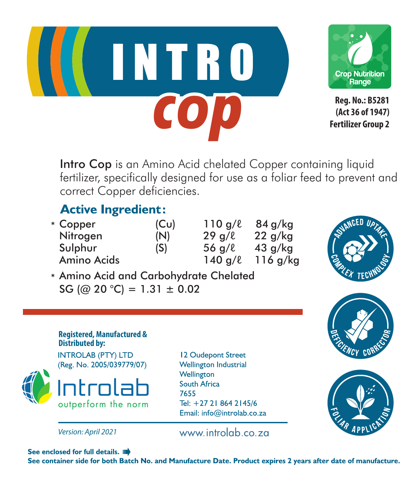



**Reg. No.: B5281 (Act 36 of 1947) Fertilizer Group 2**

Intro Cop is an Amino Acid chelated Copper containing liquid fertilizer, specifically designed for use as a foliar feed to prevent and correct Copper deficiencies.

## **Active Ingredient:**

| * Copper    | (Cu) | 110q/l              | 84 g/kg   |
|-------------|------|---------------------|-----------|
| Nitrogen    | (N)  | 29q/l               | $22$ q/kg |
| Sulphur     | (S)  | $56 \text{ a}/\ell$ | $43$ g/kg |
| Amino Acids |      | $140$ g/ $\ell$     | 116q/kg   |



Amino Acid and Carbohydrate Chelated \* SG (@ 20 °C) = 1.31  $\pm$  0.02





**INTROLAB (PTY) LTD** (Reg. No. 2005/039779/07)





12 Oudepont Street **Wellington Industrial** Wellington South Africa 7655 Tel: +27 21 864 2145/6 Email: info@introlab.co.za

www.introlab.co.za



See enclosed for full details. ID

See container side for both Batch No. and Manufacture Date. Product expires 2 years after date of manufacture.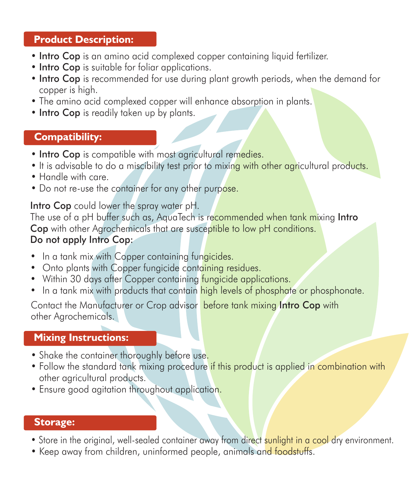## **Product Description:**

- Intro Cop is an amino acid complexed copper containing liquid fertilizer.
- Intro Cop is suitable for foliar applications.
- Intro Cop is recommended for use during plant growth periods, when the demand for copper is high.
- The amino acid complexed copper will enhance absorption in plants.
- Intro Cop is readily taken up by plants.

## **Compatibility:**

- Intro Cop is compatible with most agricultural remedies.
- It is advisable to do a miscibility test prior to mixing with other agricultural products.
- Handle with care.
- Do not re-use the container for any other purpose.

#### Intro Cop could lower the spray water pH.

The use of a pH buffer such as, AquaTech is recommended when tank mixing Intro Cop with other Agrochemicals that are susceptible to low pH conditions.

#### Do not apply Intro Cop:

- In a tank mix with Copper containing fungicides.
- Onto plants with Copper fungicide containing residues.
- Within 30 days after Copper containing fungicide applications.
- In a tank mix with products that contain high levels of phosphate or phosphonate.

Contact the Manufacturer or Crop advisor before tank mixing Intro Cop with other Agrochemicals.

## **Mixing Instructions:**

- Shake the container thoroughly before use.
- Follow the standard tank mixing procedure if this product is applied in combination with other agricultural products.
- Ensure good agitation throughout application.

#### **Storage:**

- Store in the original, well-sealed container away from direct sunlight in a cool dry environment.
- Keep away from children, uninformed people, animals and foodstuffs.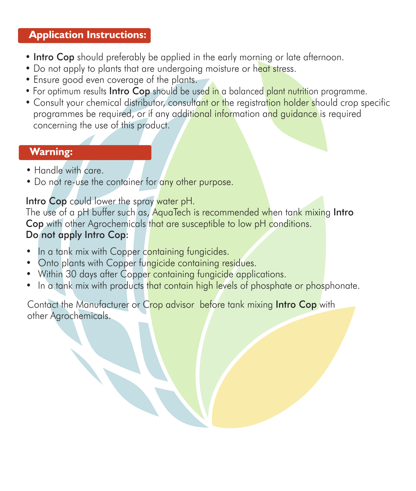## **Application Instructions:**

- Intro Cop should preferably be applied in the early morning or late afternoon.
- Do not apply to plants that are undergoing moisture or heat stress.
- Ensure good even coverage of the plants.
- For optimum results **Intro Cop** should be used in a balanced plant nutrition programme.
- Consult your chemical distributor, consultant or the registration holder should crop specific programmes be required, or if any additional information and guidance is required concerning the use of this product.

## **Warning:**

- Handle with care.
- Do not re-use the container for any other purpose.

## Intro Cop could lower the spray water pH.

The use of a pH buffer such as, AquaTech is recommended when tank mixing Intro Cop with other Agrochemicals that are susceptible to low pH conditions. Do not apply Intro Cop:

- In a tank mix with Copper containing fungicides. •
- Onto plants with Copper fungicide containing residues.
- Within 30 days after Copper containing fungicide applications.
- In a tank mix with products that contain high levels of phosphate or phosphonate.

Contact the Manufacturer or Crop advisor before tank mixing Intro Cop with other Agrochemicals.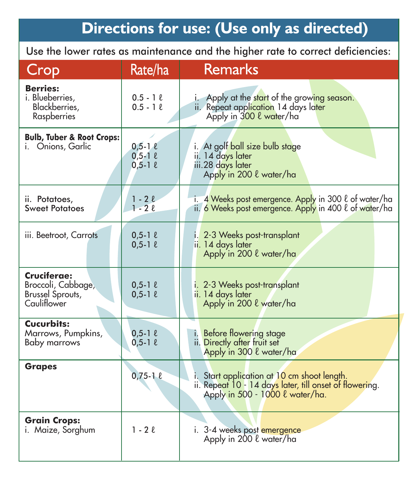# Directions for use: (Use only as directed)

Use the lower rates as maintenance and the higher rate to correct deficiencies:

| Crop                                                                 | Rate/ha                                           | <b>Remarks</b>                                                                                                                            |
|----------------------------------------------------------------------|---------------------------------------------------|-------------------------------------------------------------------------------------------------------------------------------------------|
| <b>Berries:</b><br>i. Blueberries.<br>Blackberries,<br>Raspberries   | $0.5 - 1 \ell$<br>$0.5 - 1.2$                     | Apply at the start of the growing season.<br>ii. Repeat application 14 days later<br>Apply in 300 l water/ha                              |
| <b>Bulb, Tuber &amp; Root Crops:</b><br>i. Onions, Garlic            | $0,5-1\ell$<br>$0,5 - 1$ $\ell$<br>$0,5-1$ $\ell$ | i. At golf ball size bulb stage<br>ii. 14 days later<br>iii.28 days later<br>Apply in 200 l water/ha                                      |
| ii. Potatoes,<br><b>Sweet Potatoes</b>                               | $1 - 2\ell$<br>$1 - 2\ell$                        | i. 4 Weeks post emergence. Apply in 300 l of water/ha<br>ii. 6 Weeks post emergence. Apply in 400 l of water/ha                           |
| iii. Beetroot, Carrots                                               | $0,5-1$ $\ell$<br>$0,5-1$ $\ell$                  | i. 2-3 Weeks post-transplant<br>ii. 14 days later<br>Apply in 200 l water/ha                                                              |
| Cruciferae:<br>Broccoli, Cabbage,<br>Brussel Sprouts,<br>Cauliflower | $0,5-1$ $\ell$<br>$0,5-1$ $\ell$                  | i. 2-3 Weeks post-transplant<br>ii. 14 days later<br>Apply in 200 l water/ha                                                              |
| Cucurbits:<br>Marrows, Pumpkins,<br><b>Baby marrows</b>              | $0,5-1 \ell$<br>$0,5-1 \ell$                      | i. Before flowering stage<br>ii. Directly after fruit set<br>Apply in 300 l water/ha                                                      |
| <b>Grapes</b>                                                        | $0,75 - 10$                                       | i. Start application at 10 cm shoot length.<br>ii. Repeat 10 - 14 days later, till onset of flowering.<br>Apply in 500 - 1000 & water/ha. |
| <b>Grain Crops:</b><br>i. Maize, Sorghum                             | $1 - 2\ell$                                       | i. 3-4 weeks post emergence<br>Apply in 200 l water/ha                                                                                    |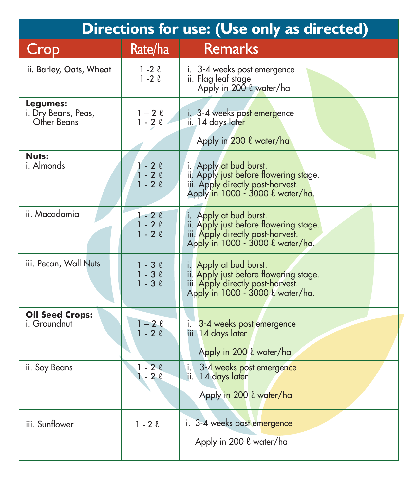| Directions for use: (Use only as directed)     |                                              |                                                                                                                                           |  |  |
|------------------------------------------------|----------------------------------------------|-------------------------------------------------------------------------------------------------------------------------------------------|--|--|
| Crop                                           | Rate/ha                                      | <b>Remarks</b>                                                                                                                            |  |  |
| ii. Barley, Oats, Wheat                        | $1 - 2$ $\ell$<br>$1 - 2$ $\ell$             | i. 3-4 weeks post emergence<br>ii. Flag leaf stage<br>Apply in 200 l water/ha                                                             |  |  |
| Legumes:<br>i. Dry Beans, Peas,<br>Other Beans | 1 – 2 l<br>$1 - 2 \ell$                      | i. 3-4 weeks post emergence<br>ii. 14 days later<br>Apply in 200 l water/ha                                                               |  |  |
| Nuts:<br>i. Almonds                            | $1 - 2$ $\ell$<br>$1 - 2\ell$<br>$1 - 2\ell$ | i. Apply at bud burst.<br>ii. Apply just before flowering stage.<br>iii. Apply directly post-harvest.<br>Apply in 1000 - 3000 l water/ha. |  |  |
| ii. Macadamia                                  | $1 - 2l$<br>$1 - 2l$<br>$1 - 2\ell$          | i. Apply at bud burst.<br>ii. Apply just before flowering stage.<br>iii. Apply directly post-harvest.<br>Apply in 1000 - 3000 l water/ha. |  |  |
| iii. Pecan, Wall Nuts                          | $1 - 3$ $\ell$<br>$1 - 3l$<br>$1 - 3l$       | i. Apply at bud burst.<br>ii. Apply just before flowering stage.<br>iii. Apply directly post-harvest.<br>Apply in 1000 - 3000 l water/ha. |  |  |
| <b>Oil Seed Crops:</b><br>i. Groundnut         | $1 - 2\ell$<br>$1 - 2\ell$                   | 3-4 weeks post emergence<br>i.<br>iii. 14 days later<br>Apply in 200 l water/ha                                                           |  |  |
| ii. Soy Beans                                  | $1 - 2l$<br>$1 - 2\ell$                      | i.<br>3-4 weeks post emergence<br>ii. 14 days later<br>Apply in 200 l water/ha                                                            |  |  |
| iii. Sunflower                                 | $1 - 2l$                                     | i. 3-4 weeks post emergence<br>Apply in 200 l water/ha                                                                                    |  |  |